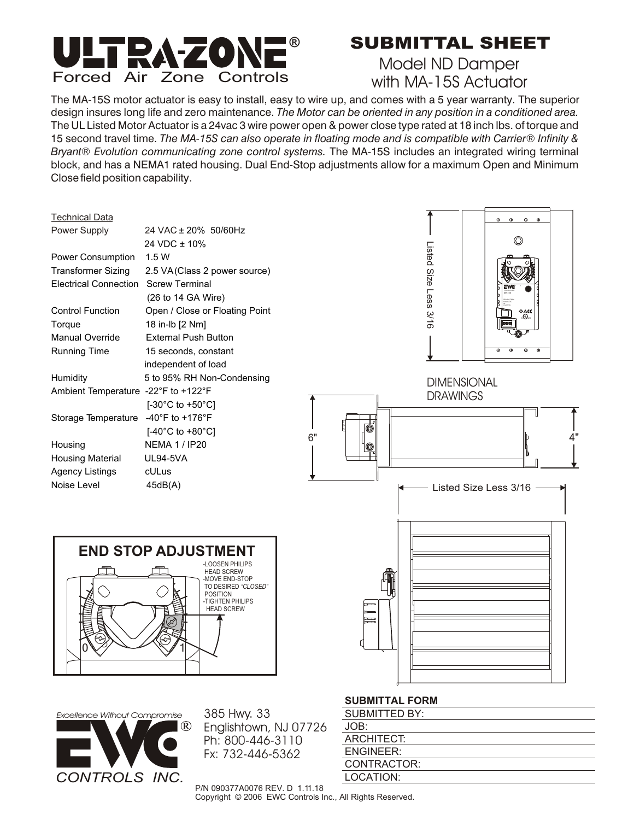

## **SUBMITTAL SHEET**

Model ND Damper with MA-15S Actuator

The MA-15S motor actuator is easy to install, easy to wire up, and comes with a 5 year warranty. The superior design insures long life and zero maintenance. *The Motor can be oriented in any position in a conditioned area.*  The UL Listed Motor Actuator is a 24vac 3 wire power open & power close type rated at 18 inch lbs. of torque and 15 second travel time. *The MA-15S can also operate in floating mode and is compatible with Carrier*® *Infinity & Bryant*® *Evolution communicating zone control systems.* The MA-15S includes an integrated wiring terminal block, and has a NEMA1 rated housing. Dual End-Stop adjustments allow for a maximum Open and Minimum Close field position capability.





385 Hwy. 33 Englishtown, NJ 07726 Ph: 800-446-3110

#### **SUBMITTAL FORM**

| <b>SUBMITTED BY:</b> |
|----------------------|
| JOB:                 |
| ARCHITECT:           |
| ENGINEER:            |
| CONTRACTOR:          |
| LOCATION:            |

P/N 090377A0076 REV. D 1.11.18 Copyright © 2006 EWC Controls Inc., All Rights Reserved.